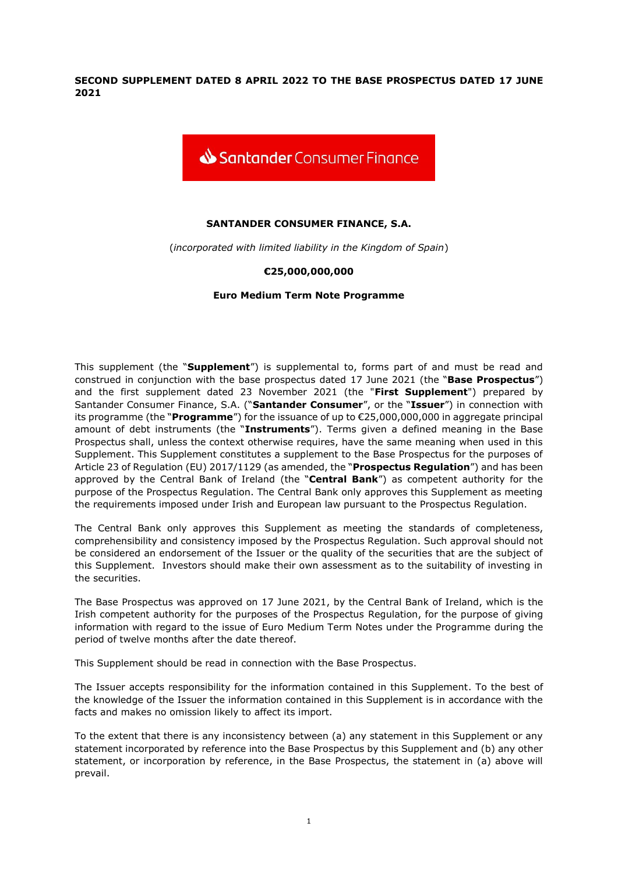**SECOND SUPPLEMENT DATED 8 APRIL 2022 TO THE BASE PROSPECTUS DATED 17 JUNE 2021**



# **SANTANDER CONSUMER FINANCE, S.A.**

(*incorporated with limited liability in the Kingdom of Spain*)

## **€25,000,000,000**

## **Euro Medium Term Note Programme**

This supplement (the "**Supplement**") is supplemental to, forms part of and must be read and construed in conjunction with the base prospectus dated 17 June 2021 (the "**Base Prospectus**") and the first supplement dated 23 November 2021 (the "**First Supplement**") prepared by Santander Consumer Finance, S.A. ("**Santander Consumer**", or the "**Issuer**") in connection with its programme (the "**Programme**") for the issuance of up to €25,000,000,000 in aggregate principal amount of debt instruments (the "**Instruments**"). Terms given a defined meaning in the Base Prospectus shall, unless the context otherwise requires, have the same meaning when used in this Supplement. This Supplement constitutes a supplement to the Base Prospectus for the purposes of Article 23 of Regulation (EU) 2017/1129 (as amended, the "**Prospectus Regulation**") and has been approved by the Central Bank of Ireland (the "**Central Bank**") as competent authority for the purpose of the Prospectus Regulation. The Central Bank only approves this Supplement as meeting the requirements imposed under Irish and European law pursuant to the Prospectus Regulation.

The Central Bank only approves this Supplement as meeting the standards of completeness, comprehensibility and consistency imposed by the Prospectus Regulation. Such approval should not be considered an endorsement of the Issuer or the quality of the securities that are the subject of this Supplement. Investors should make their own assessment as to the suitability of investing in the securities.

The Base Prospectus was approved on 17 June 2021, by the Central Bank of Ireland, which is the Irish competent authority for the purposes of the Prospectus Regulation, for the purpose of giving information with regard to the issue of Euro Medium Term Notes under the Programme during the period of twelve months after the date thereof.

This Supplement should be read in connection with the Base Prospectus.

The Issuer accepts responsibility for the information contained in this Supplement. To the best of the knowledge of the Issuer the information contained in this Supplement is in accordance with the facts and makes no omission likely to affect its import.

To the extent that there is any inconsistency between (a) any statement in this Supplement or any statement incorporated by reference into the Base Prospectus by this Supplement and (b) any other statement, or incorporation by reference, in the Base Prospectus, the statement in (a) above will prevail.